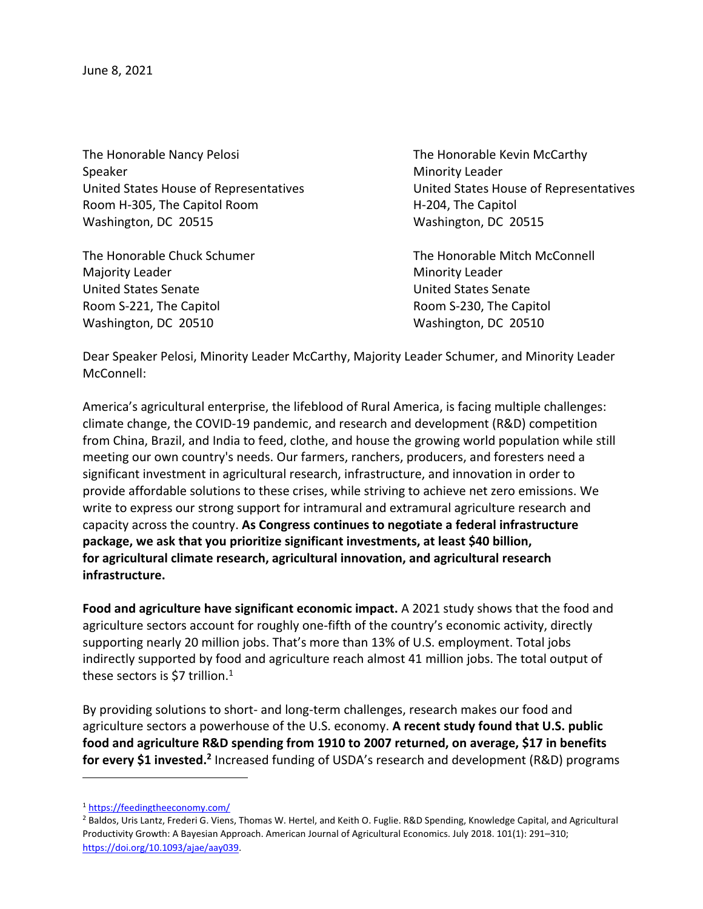June 8, 2021

The Honorable Nancy Pelosi **The Honorable Kevin McCarthy** Speaker Minority Leader Minority Leader Room H-305, The Capitol Room **H-204**, The Capitol Washington, DC 20515 Washington, DC 20515

Majority Leader **Minority Leader** Minority Leader United States Senate United States Senate Room S-221, The Capitol **Room S-230**, The Capitol Room S-230, The Capitol Washington, DC 20510 Washington, DC 20510

United States House of Representatives United States House of Representatives

The Honorable Chuck Schumer The Honorable Mitch McConnell

Dear Speaker Pelosi, Minority Leader McCarthy, Majority Leader Schumer, and Minority Leader McConnell:

America's agricultural enterprise, the lifeblood of Rural America, is facing multiple challenges: climate change, the COVID-19 pandemic, and research and development (R&D) competition from China, Brazil, and India to feed, clothe, and house the growing world population while still meeting our own country's needs. Our farmers, ranchers, producers, and foresters need a significant investment in agricultural research, infrastructure, and innovation in order to provide affordable solutions to these crises, while striving to achieve net zero emissions. We write to express our strong support for intramural and extramural agriculture research and capacity across the country. **As Congress continues to negotiate a federal infrastructure package, we ask that you prioritize significant investments, at least \$40 billion, for agricultural climate research, agricultural innovation, and agricultural research infrastructure.**

**Food and agriculture have significant economic impact.** A 2021 study shows that the food and agriculture sectors account for roughly one-fifth of the country's economic activity, directly supporting nearly 20 million jobs. That's more than 13% of U.S. employment. Total jobs indirectly supported by food and agriculture reach almost 41 million jobs. The total output of these sectors is \$7 trillion. $1$ 

By providing solutions to short- and long-term challenges, research makes our food and agriculture sectors a powerhouse of the U.S. economy. **A recent study found that U.S. public food and agriculture R&D spending from 1910 to 2007 returned, on average, \$17 in benefits**  for every \$1 invested.<sup>2</sup> Increased funding of USDA's research and development (R&D) programs

<sup>1</sup> <https://feedingtheeconomy.com/>

<sup>&</sup>lt;sup>2</sup> Baldos, Uris Lantz, Frederi G. Viens, Thomas W. Hertel, and Keith O. Fuglie. R&D Spending, Knowledge Capital, and Agricultural Productivity Growth: A Bayesian Approach. American Journal of Agricultural Economics. July 2018. 101(1): 291–310; [https://doi.org/10.1093/ajae/aay039.](https://doi.org/10.1093/ajae/aay039)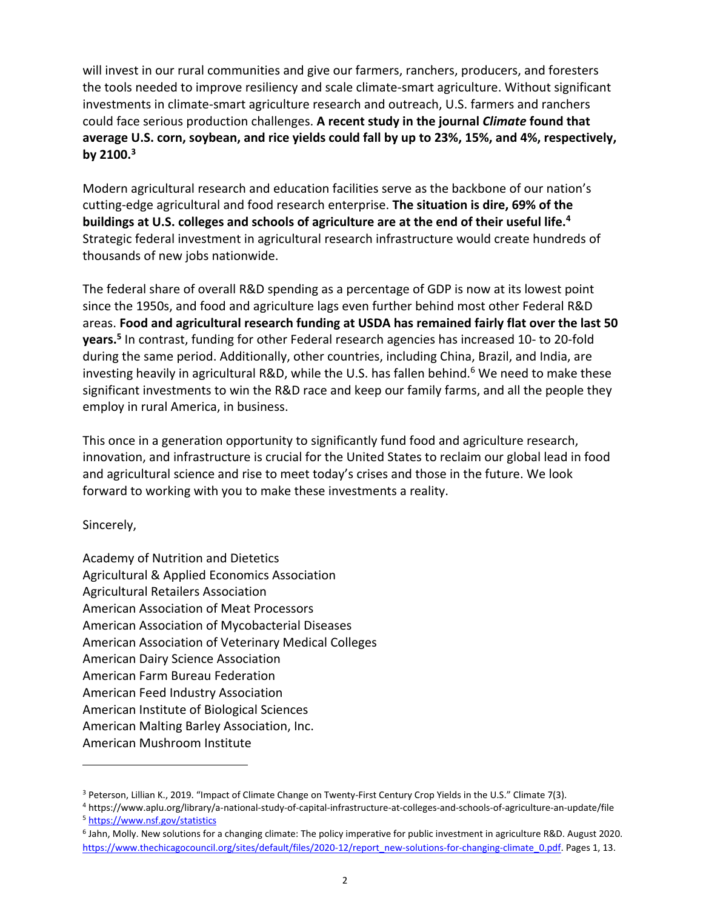will invest in our rural communities and give our farmers, ranchers, producers, and foresters the tools needed to improve resiliency and scale climate-smart agriculture. Without significant investments in climate-smart agriculture research and outreach, U.S. farmers and ranchers could face serious production challenges. **A recent study in the journal** *Climate* **found that average U.S. corn, soybean, and rice yields could fall by up to 23%, 15%, and 4%, respectively, by 2100.<sup>3</sup>**

Modern agricultural research and education facilities serve as the backbone of our nation's cutting-edge agricultural and food research enterprise. **The situation is dire, 69% of the buildings at U.S. colleges and schools of agriculture are at the end of their useful life.<sup>4</sup>** Strategic federal investment in agricultural research infrastructure would create hundreds of thousands of new jobs nationwide.

The federal share of overall R&D spending as a percentage of GDP is now at its lowest point since the 1950s, and food and agriculture lags even further behind most other Federal R&D areas. **Food and agricultural research funding at USDA has remained fairly flat over the last 50 years.<sup>5</sup>** In contrast, funding for other Federal research agencies has increased 10- to 20-fold during the same period. Additionally, other countries, including China, Brazil, and India, are investing heavily in agricultural R&D, while the U.S. has fallen behind.<sup>6</sup> We need to make these significant investments to win the R&D race and keep our family farms, and all the people they employ in rural America, in business.

This once in a generation opportunity to significantly fund food and agriculture research, innovation, and infrastructure is crucial for the United States to reclaim our global lead in food and agricultural science and rise to meet today's crises and those in the future. We look forward to working with you to make these investments a reality.

Sincerely,

Academy of Nutrition and Dietetics Agricultural & Applied Economics Association Agricultural Retailers Association American Association of Meat Processors American Association of Mycobacterial Diseases American Association of Veterinary Medical Colleges American Dairy Science Association American Farm Bureau Federation American Feed Industry Association American Institute of Biological Sciences American Malting Barley Association, Inc. American Mushroom Institute

<sup>3</sup> Peterson, Lillian K., 2019. "Impact of Climate Change on Twenty-First Century Crop Yields in the U.S." Climate 7(3).

<sup>4</sup> https://www.aplu.org/library/a-national-study-of-capital-infrastructure-at-colleges-and-schools-of-agriculture-an-update/file <sup>5</sup> [https://www.nsf.gov/statistics](https://www.nsf.gov/statistics/)

<sup>6</sup> Jahn, Molly. New solutions for a changing climate: The policy imperative for public investment in agriculture R&D. August 2020. [https://www.thechicagocouncil.org/sites/default/files/2020-12/report\\_new-solutions-for-changing-climate\\_0.pdf.](https://www.thechicagocouncil.org/sites/default/files/2020-12/report_new-solutions-for-changing-climate_0.pdf) Pages 1, 13.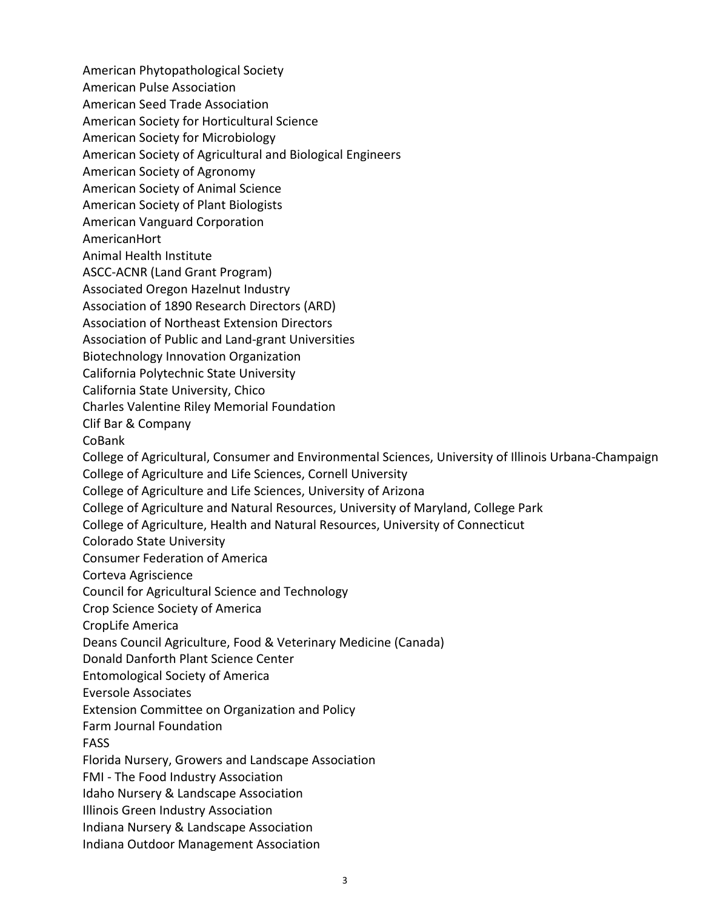American Phytopathological Society American Pulse Association American Seed Trade Association American Society for Horticultural Science American Society for Microbiology American Society of Agricultural and Biological Engineers American Society of Agronomy American Society of Animal Science American Society of Plant Biologists American Vanguard Corporation AmericanHort Animal Health Institute ASCC-ACNR (Land Grant Program) Associated Oregon Hazelnut Industry Association of 1890 Research Directors (ARD) Association of Northeast Extension Directors Association of Public and Land-grant Universities Biotechnology Innovation Organization California Polytechnic State University California State University, Chico Charles Valentine Riley Memorial Foundation Clif Bar & Company CoBank College of Agricultural, Consumer and Environmental Sciences, University of Illinois Urbana-Champaign College of Agriculture and Life Sciences, Cornell University College of Agriculture and Life Sciences, University of Arizona College of Agriculture and Natural Resources, University of Maryland, College Park College of Agriculture, Health and Natural Resources, University of Connecticut Colorado State University Consumer Federation of America Corteva Agriscience Council for Agricultural Science and Technology Crop Science Society of America CropLife America Deans Council Agriculture, Food & Veterinary Medicine (Canada) Donald Danforth Plant Science Center Entomological Society of America Eversole Associates Extension Committee on Organization and Policy Farm Journal Foundation FASS Florida Nursery, Growers and Landscape Association FMI - The Food Industry Association Idaho Nursery & Landscape Association Illinois Green Industry Association Indiana Nursery & Landscape Association Indiana Outdoor Management Association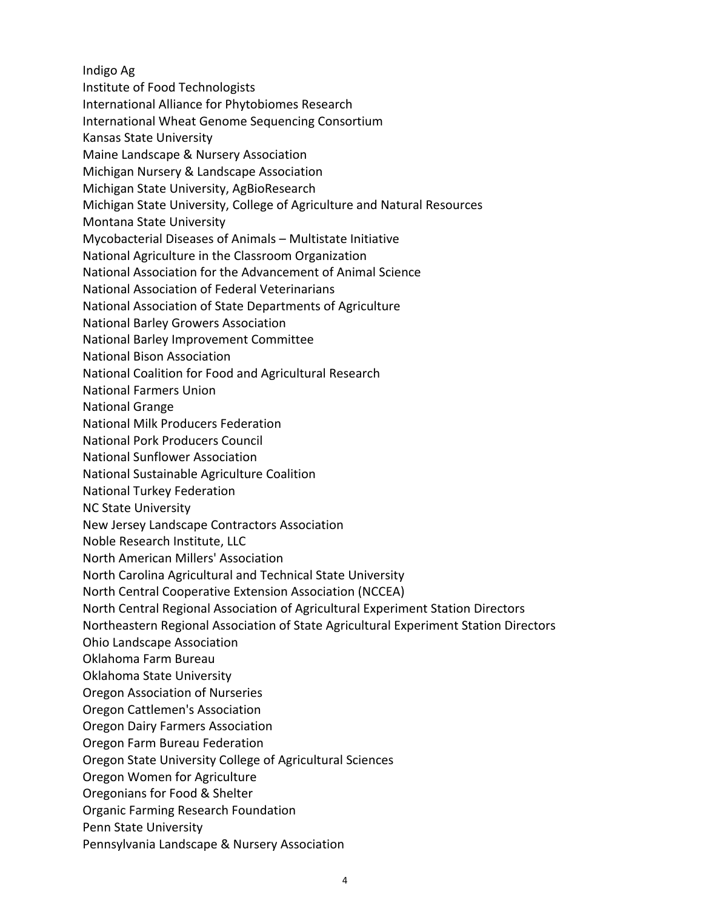Indigo Ag

- Institute of Food Technologists
- International Alliance for Phytobiomes Research
- International Wheat Genome Sequencing Consortium
- Kansas State University
- Maine Landscape & Nursery Association
- Michigan Nursery & Landscape Association
- Michigan State University, AgBioResearch
- Michigan State University, College of Agriculture and Natural Resources
- Montana State University
- Mycobacterial Diseases of Animals Multistate Initiative
- National Agriculture in the Classroom Organization
- National Association for the Advancement of Animal Science
- National Association of Federal Veterinarians
- National Association of State Departments of Agriculture
- National Barley Growers Association
- National Barley Improvement Committee
- National Bison Association
- National Coalition for Food and Agricultural Research
- National Farmers Union
- National Grange
- National Milk Producers Federation
- National Pork Producers Council
- National Sunflower Association
- National Sustainable Agriculture Coalition
- National Turkey Federation
- NC State University
- New Jersey Landscape Contractors Association
- Noble Research Institute, LLC
- North American Millers' Association
- North Carolina Agricultural and Technical State University
- North Central Cooperative Extension Association (NCCEA)
- North Central Regional Association of Agricultural Experiment Station Directors
- Northeastern Regional Association of State Agricultural Experiment Station Directors
- Ohio Landscape Association
- Oklahoma Farm Bureau
- Oklahoma State University
- Oregon Association of Nurseries
- Oregon Cattlemen's Association
- Oregon Dairy Farmers Association
- Oregon Farm Bureau Federation
- Oregon State University College of Agricultural Sciences
- Oregon Women for Agriculture
- Oregonians for Food & Shelter
- Organic Farming Research Foundation
- Penn State University
- Pennsylvania Landscape & Nursery Association